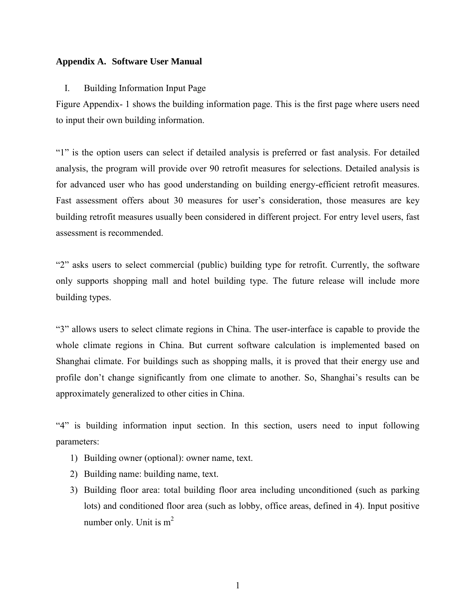## **Appendix A. Software User Manual**

## I. Building Information Input Page

[Figure Appendix- 1](#page-3-0) shows the building information page. This is the first page where users need to input their own building information.

"1" is the option users can select if detailed analysis is preferred or fast analysis. For detailed analysis, the program will provide over 90 retrofit measures for selections. Detailed analysis is for advanced user who has good understanding on building energy-efficient retrofit measures. Fast assessment offers about 30 measures for user's consideration, those measures are key building retrofit measures usually been considered in different project. For entry level users, fast assessment is recommended.

"2" asks users to select commercial (public) building type for retrofit. Currently, the software only supports shopping mall and hotel building type. The future release will include more building types.

"3" allows users to select climate regions in China. The user-interface is capable to provide the whole climate regions in China. But current software calculation is implemented based on Shanghai climate. For buildings such as shopping malls, it is proved that their energy use and profile don't change significantly from one climate to another. So, Shanghai's results can be approximately generalized to other cities in China.

"4" is building information input section. In this section, users need to input following parameters:

- 1) Building owner (optional): owner name, text.
- 2) Building name: building name, text.
- 3) Building floor area: total building floor area including unconditioned (such as parking lots) and conditioned floor area (such as lobby, office areas, defined in 4). Input positive number only. Unit is  $m<sup>2</sup>$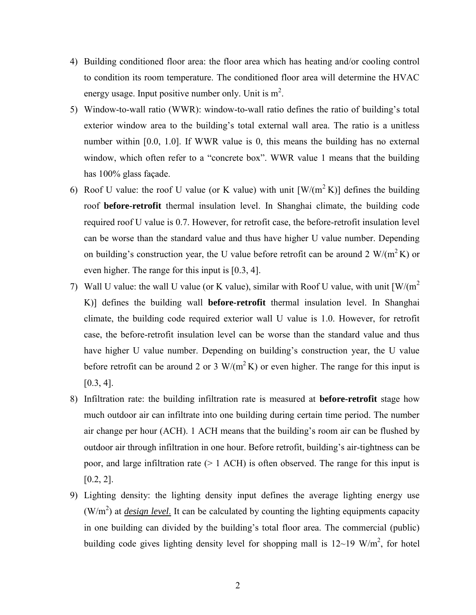- 4) Building conditioned floor area: the floor area which has heating and/or cooling control to condition its room temperature. The conditioned floor area will determine the HVAC energy usage. Input positive number only. Unit is  $m^2$ .
- 5) Window-to-wall ratio (WWR): window-to-wall ratio defines the ratio of building's total exterior window area to the building's total external wall area. The ratio is a unitless number within [0.0, 1.0]. If WWR value is 0, this means the building has no external window, which often refer to a "concrete box". WWR value 1 means that the building has 100% glass façade.
- 6) Roof U value: the roof U value (or K value) with unit  $[W/(m^2 K)]$  defines the building roof **before-retrofit** thermal insulation level. In Shanghai climate, the building code required roof U value is 0.7. However, for retrofit case, the before-retrofit insulation level can be worse than the standard value and thus have higher U value number. Depending on building's construction year, the U value before retrofit can be around 2  $W/(m^2 K)$  or even higher. The range for this input is [0.3, 4].
- 7) Wall U value: the wall U value (or K value), similar with Roof U value, with unit  $\left[W/(m^2)\right]$ K)] defines the building wall **before-retrofit** thermal insulation level. In Shanghai climate, the building code required exterior wall U value is 1.0. However, for retrofit case, the before-retrofit insulation level can be worse than the standard value and thus have higher U value number. Depending on building's construction year, the U value before retrofit can be around 2 or 3 W/( $m^2 K$ ) or even higher. The range for this input is  $[0.3, 4]$ .
- 8) Infiltration rate: the building infiltration rate is measured at **before-retrofit** stage how much outdoor air can infiltrate into one building during certain time period. The number air change per hour (ACH). 1 ACH means that the building's room air can be flushed by outdoor air through infiltration in one hour. Before retrofit, building's air-tightness can be poor, and large infiltration rate (> 1 ACH) is often observed. The range for this input is [0.2, 2].
- 9) Lighting density: the lighting density input defines the average lighting energy use  $(W/m<sup>2</sup>)$  at *design level*. It can be calculated by counting the lighting equipments capacity in one building can divided by the building's total floor area. The commercial (public) building code gives lighting density level for shopping mall is  $12{\sim}19 \text{ W/m}^2$ , for hotel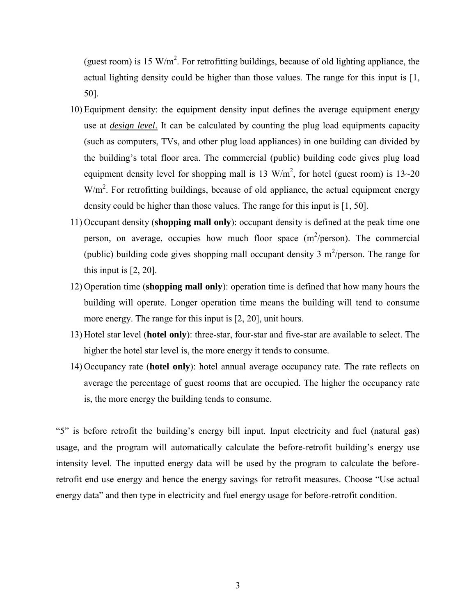(guest room) is 15 W/m<sup>2</sup>. For retrofitting buildings, because of old lighting appliance, the actual lighting density could be higher than those values. The range for this input is [1, 50].

- 10) Equipment density: the equipment density input defines the average equipment energy use at *design level*. It can be calculated by counting the plug load equipments capacity (such as computers, TVs, and other plug load appliances) in one building can divided by the building's total floor area. The commercial (public) building code gives plug load equipment density level for shopping mall is 13  $W/m<sup>2</sup>$ , for hotel (guest room) is 13~20  $W/m<sup>2</sup>$ . For retrofitting buildings, because of old appliance, the actual equipment energy density could be higher than those values. The range for this input is [1, 50].
- 11) Occupant density (**shopping mall only**): occupant density is defined at the peak time one person, on average, occupies how much floor space  $(m^2/person)$ . The commercial (public) building code gives shopping mall occupant density 3  $m^2$ /person. The range for this input is [2, 20].
- 12) Operation time (**shopping mall only**): operation time is defined that how many hours the building will operate. Longer operation time means the building will tend to consume more energy. The range for this input is [2, 20], unit hours.
- 13) Hotel star level (**hotel only**): three-star, four-star and five-star are available to select. The higher the hotel star level is, the more energy it tends to consume.
- 14) Occupancy rate (**hotel only**): hotel annual average occupancy rate. The rate reflects on average the percentage of guest rooms that are occupied. The higher the occupancy rate is, the more energy the building tends to consume.

"5" is before retrofit the building's energy bill input. Input electricity and fuel (natural gas) usage, and the program will automatically calculate the before-retrofit building's energy use intensity level. The inputted energy data will be used by the program to calculate the beforeretrofit end use energy and hence the energy savings for retrofit measures. Choose "Use actual energy data" and then type in electricity and fuel energy usage for before-retrofit condition.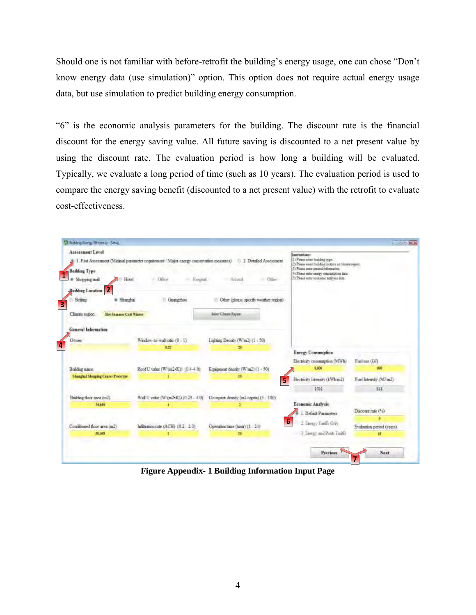Should one is not familiar with before-retrofit the building's energy usage, one can chose "Don't know energy data (use simulation)" option. This option does not require actual energy usage data, but use simulation to predict building energy consumption.

"6" is the economic analysis parameters for the building. The discount rate is the financial discount for the energy saving value. All future saving is discounted to a net present value by using the discount rate. The evaluation period is how long a building will be evaluated. Typically, we evaluate a long period of time (such as 10 years). The evaluation period is used to compare the energy saving benefit (discounted to a net present value) with the retrofit to evaluate cost-effectiveness.



<span id="page-3-0"></span>**Figure Appendix- 1 Building Information Input Page**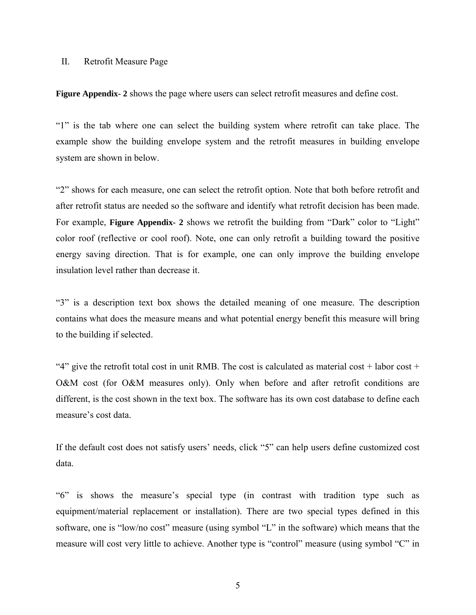## II. Retrofit Measure Page

**[Figure Appendix- 2](#page-5-0)** shows the page where users can select retrofit measures and define cost.

"1" is the tab where one can select the building system where retrofit can take place. The example show the building envelope system and the retrofit measures in building envelope system are shown in below.

"2" shows for each measure, one can select the retrofit option. Note that both before retrofit and after retrofit status are needed so the software and identify what retrofit decision has been made. For example, **[Figure Appendix- 2](#page-5-0)** shows we retrofit the building from "Dark" color to "Light" color roof (reflective or cool roof). Note, one can only retrofit a building toward the positive energy saving direction. That is for example, one can only improve the building envelope insulation level rather than decrease it.

"3" is a description text box shows the detailed meaning of one measure. The description contains what does the measure means and what potential energy benefit this measure will bring to the building if selected.

"4" give the retrofit total cost in unit RMB. The cost is calculated as material cost + labor cost + O&M cost (for O&M measures only). Only when before and after retrofit conditions are different, is the cost shown in the text box. The software has its own cost database to define each measure's cost data.

If the default cost does not satisfy users' needs, click "5" can help users define customized cost data.

"6" is shows the measure's special type (in contrast with tradition type such as equipment/material replacement or installation). There are two special types defined in this software, one is "low/no cost" measure (using symbol "L" in the software) which means that the measure will cost very little to achieve. Another type is "control" measure (using symbol "C" in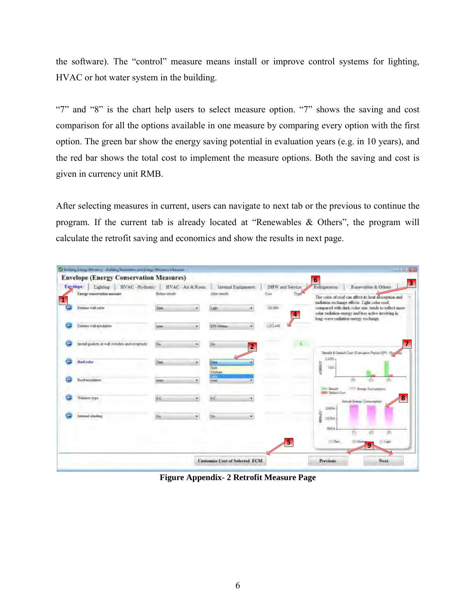the software). The "control" measure means install or improve control systems for lighting, HVAC or hot water system in the building.

"7" and "8" is the chart help users to select measure option. "7" shows the saving and cost comparison for all the options available in one measure by comparing every option with the first option. The green bar show the energy saving potential in evaluation years (e.g. in 10 years), and the red bar shows the total cost to implement the measure options. Both the saving and cost is given in currency unit RMB.

After selecting measures in current, users can navigate to next tab or the previous to continue the program. If the current tab is already located at "Renewables & Others", the program will calculate the retrofit saving and economics and show the results in next page.

| HVAC-Hydronic<br>Euvelope<br>Lighting<br><b>Energy conservation measure.</b> | Belize recoft | HVAC - Air & Room        | AAm muuti                     | Intensi Equipments | DHW and Service<br>Cast |                        | Renewables & Others<br>Refrigeration<br>The color of roof can affect its lient absorption and                                                                                                        |
|------------------------------------------------------------------------------|---------------|--------------------------|-------------------------------|--------------------|-------------------------|------------------------|------------------------------------------------------------------------------------------------------------------------------------------------------------------------------------------------------|
| Exempt wall color                                                            | Dail          | ٠                        | Lath                          | ۰                  | 110,986                 | 4                      | radiation rochasser effects. Light color roof,<br>compared with dark color one, tends to reflect more<br>solar radiation energy and less scitve involving in<br>long-wave radiation energy exchange. |
| Extenses wall enrollation                                                    | cose          | ٠                        | EPI ANGEL                     | ۰                  | 1,272,448               |                        |                                                                                                                                                                                                      |
| bastall geskets at wall awaches and receptable.                              | <b>No</b>     |                          | blo                           | $\overline{2}$     |                         |                        | Benefit & Detail: Cost (Evaluation Panos (EP) 10x                                                                                                                                                    |
| <b>Real color</b>                                                            | <b>Date</b>   | $\overline{\phantom{a}}$ | Date<br>Dark<br><b>Melses</b> |                    |                         |                        | $1000 -$<br><b>LIBRARY</b><br>100                                                                                                                                                                    |
| Toot'sumistion                                                               | <b>ISSE</b>   |                          | temp                          |                    |                         | <b>THE R. P. LEWIS</b> | 7fb<br>CF<br><b>Berushi</b><br><b>Brandy Constantinople</b>                                                                                                                                          |
| Wandow Iva-                                                                  | $8 - C$       |                          | 8£                            |                    |                         |                        | <b>Deltale Care</b><br>8<br>Armail Entray Consumption<br>10604                                                                                                                                       |
| Internal sharkers                                                            | $^{54}$       | ۰                        | No                            |                    |                         |                        | <b>MONEY</b><br>10304                                                                                                                                                                                |
|                                                                              |               |                          |                               |                    | 5                       |                        | 9604<br>TIY<br>(3)<br>117 Dark<br>(2) Main<br>232 Light<br>9                                                                                                                                         |

<span id="page-5-0"></span>**Figure Appendix- 2 Retrofit Measure Page**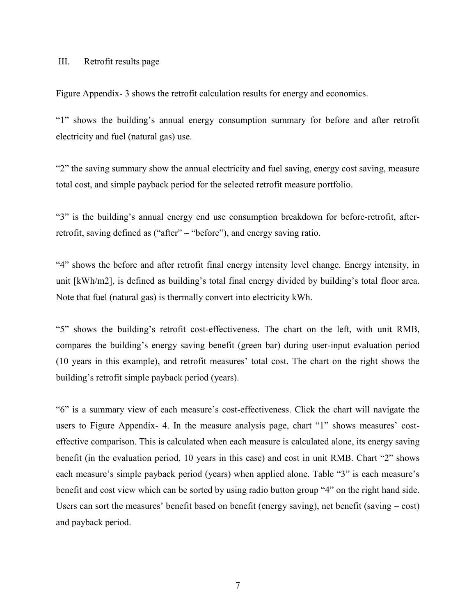## III. Retrofit results page

[Figure Appendix- 3](#page-7-0) shows the retrofit calculation results for energy and economics.

"1" shows the building's annual energy consumption summary for before and after retrofit electricity and fuel (natural gas) use.

"2" the saving summary show the annual electricity and fuel saving, energy cost saving, measure total cost, and simple payback period for the selected retrofit measure portfolio.

"3" is the building's annual energy end use consumption breakdown for before-retrofit, afterretrofit, saving defined as ("after" – "before"), and energy saving ratio.

"4" shows the before and after retrofit final energy intensity level change. Energy intensity, in unit [kWh/m2], is defined as building's total final energy divided by building's total floor area. Note that fuel (natural gas) is thermally convert into electricity kWh.

"5" shows the building's retrofit cost-effectiveness. The chart on the left, with unit RMB, compares the building's energy saving benefit (green bar) during user-input evaluation period (10 years in this example), and retrofit measures' total cost. The chart on the right shows the building's retrofit simple payback period (years).

"6" is a summary view of each measure's cost-effectiveness. Click the chart will navigate the users to [Figure Appendix- 4.](#page-7-1) In the measure analysis page, chart "1" shows measures' costeffective comparison. This is calculated when each measure is calculated alone, its energy saving benefit (in the evaluation period, 10 years in this case) and cost in unit RMB. Chart "2" shows each measure's simple payback period (years) when applied alone. Table "3" is each measure's benefit and cost view which can be sorted by using radio button group "4" on the right hand side. Users can sort the measures' benefit based on benefit (energy saving), net benefit (saving – cost) and payback period.